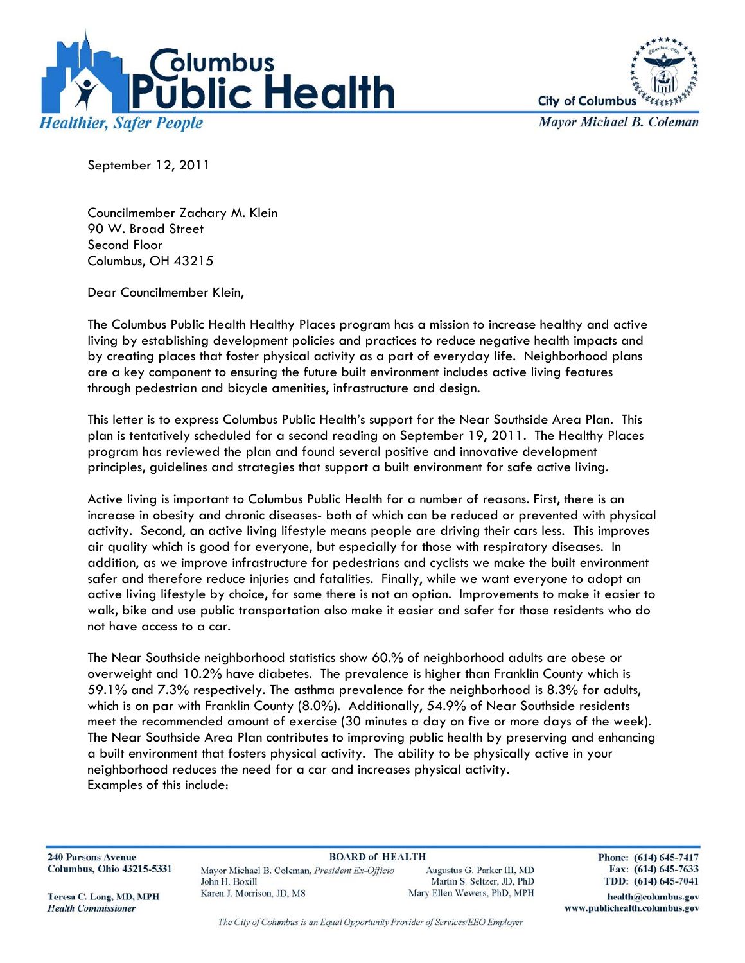



**Mayor Michael B. Coleman** 

September 12, 2011

Councilmember Zachary M. Klein 90 W. Broad Street Second Floor Columbus, OH 43215

Dear Councilmember Klein,

The Columbus Public Health Healthy Places program has a mission to increase healthy and active living by establishing development policies and practices to reduce negative health impacts and by creating places that foster physical activity as a part of everyday life. Neighborhood plans are a key component to ensuring the future built environment includes active living features through pedestrian and bicycle amenities, infrastructure and design.

This letter is to express Columbus Public Health's support for the Near Southside Area Plan. This plan is tentatively scheduled for a second reading on September 19, 2011. The Healthy Places program has reviewed the plan and found several positive and innovative development principles, guidelines and strategies that support a built environment for safe active living.

Active living is important to Columbus Public Health for a number of reasons. First, there is an increase in obesity and chronic diseases- both of which can be reduced or prevented with physical activity. Second, an active living lifestyle means people are driving their cars less. This improves air quality which is good for everyone, but especially for those with respiratory diseases. In addition, as we improve infrastructure for pedestrians and cyclists we make the built environment safer and therefore reduce injuries and fatalities. Finally, while we want everyone to adopt an active living lifestyle by choice, for some there is not an option. Improvements to make it easier to walk, bike and use public transportation also make it easier and safer for those residents who do not have access to a car.

The Near Southside neighborhood statistics show 60.% of neighborhood adults are obese or overweight and 10.2% have diabetes. The prevalence is higher than Franklin County which is 59.1% and 7.3% respectively. The asthma prevalence for the neighborhood is 8.3% for adults, which is on par with Franklin County (8.0%). Additionally, 54.9% of Near Southside residents meet the recommended amount of exercise (30 minutes a day on five or more days of the week). The Near Southside Area Plan contributes to improving public health by preserving and enhancing a built environment that fosters physical activity. The ability to be physically active in your neighborhood reduces the need for a car and increases physical activity. Examples of this include:

**240 Parsons Avenue Columbus, Ohio 43215-5331** 

**BOARD of HEALTH** Mayor Michael B. Coleman, President Ex-Officio John H. Boxill Karen J. Morrison, JD, MS

Augustus G. Parker III, MD Martin S. Seltzer, JD, PhD Mary Ellen Wewers, PhD, MPH Phone: (614) 645-7417 Fax: (614) 645-7633 TDD: (614) 645-7041

Teresa C. Long, MD, MPH **Health Commissioner** 

The City of Columbus is an Equal Opportunity Provider of Services/EEO Employer

health@columbus.gov www.publichealth.columbus.gov